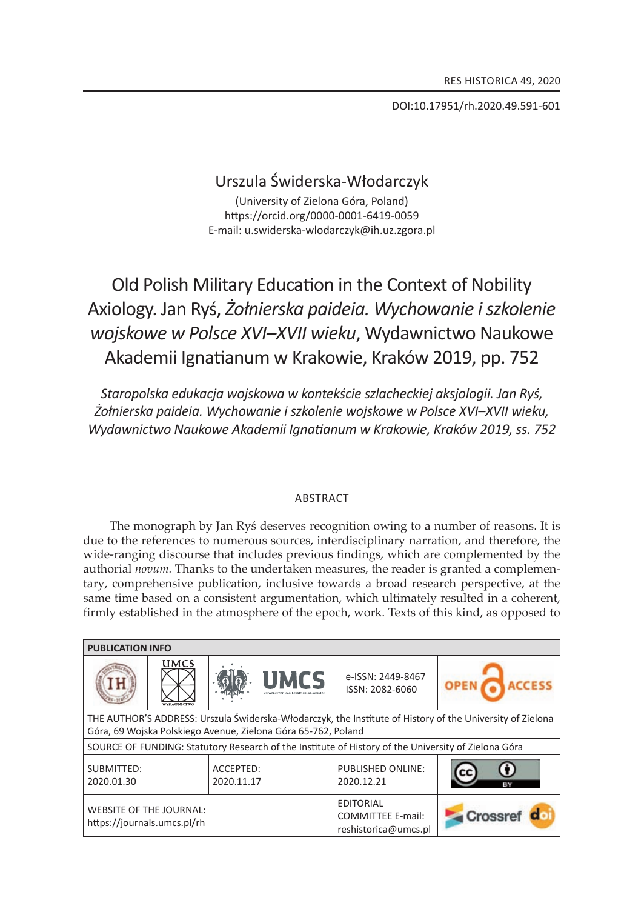DOI:10.17951/rh.2020.49.591-601

# Urszula Świderska-Włodarczyk

(University of zielona Góra, Poland) https://orcid.org/0000-0001-6419-0059 e-mail: u.swiderska-wlodarczyk@ih.uz.zgora.pl

Old Polish Military Education in the Context of Nobility Axiology. Jan Ryś, *Żołnierska paideia. Wychowanie i szkolenie wojskowe w Polsce XVi–XVii wieku*, Wydawnictwo Naukowe Akademii Ignatianum w Krakowie, Kraków 2019, pp. 752

*staropolska edukacja wojskowa w kontekście szlacheckiej aksjologii. Jan ryś, Żołnierska paideia. Wychowanie i szkolenie wojskowe w Polsce XVi–XVii wieku, Wydawnictwo naukowe Akademii ignatianum w Krakowie, Kraków 2019, ss. 752*

## **ABSTRACT**

The monograph by Jan Ryś deserves recognition owing to a number of reasons. It is due to the references to numerous sources, interdisciplinary narration, and therefore, the wide-ranging discourse that includes previous findings, which are complemented by the authorial *novum.* thanks to the undertaken measures, the reader is granted a complementary, comprehensive publication, inclusive towards a broad research perspective, at the same time based on a consistent argumentation, which ultimately resulted in a coherent, firmly established in the atmosphere of the epoch, work. Texts of this kind, as opposed to

| <b>PUBLICATION INFO</b>                                                                                                                                                    |             |                         |                                                                      |         |
|----------------------------------------------------------------------------------------------------------------------------------------------------------------------------|-------------|-------------------------|----------------------------------------------------------------------|---------|
|                                                                                                                                                                            | <b>UMCS</b> | <b>UMCS</b>             | e-ISSN: 2449-8467<br>ISSN: 2082-6060                                 |         |
| THE AUTHOR'S ADDRESS: Urszula Świderska-Włodarczyk, the Institute of History of the University of Zielona<br>Góra, 69 Wojska Polskiego Avenue, Zielona Góra 65-762, Poland |             |                         |                                                                      |         |
| SOURCE OF FUNDING: Statutory Research of the Institute of History of the University of Zielona Góra                                                                        |             |                         |                                                                      |         |
| SUBMITTED:<br>2020.01.30                                                                                                                                                   |             | ACCEPTED:<br>2020.11.17 | PUBLISHED ONLINE:<br>2020.12.21                                      |         |
| <b>WEBSITE OF THE JOURNAL:</b><br>https://journals.umcs.pl/rh                                                                                                              |             |                         | <b>EDITORIAL</b><br><b>COMMITTEE E-mail:</b><br>reshistorica@umcs.pl | Crossre |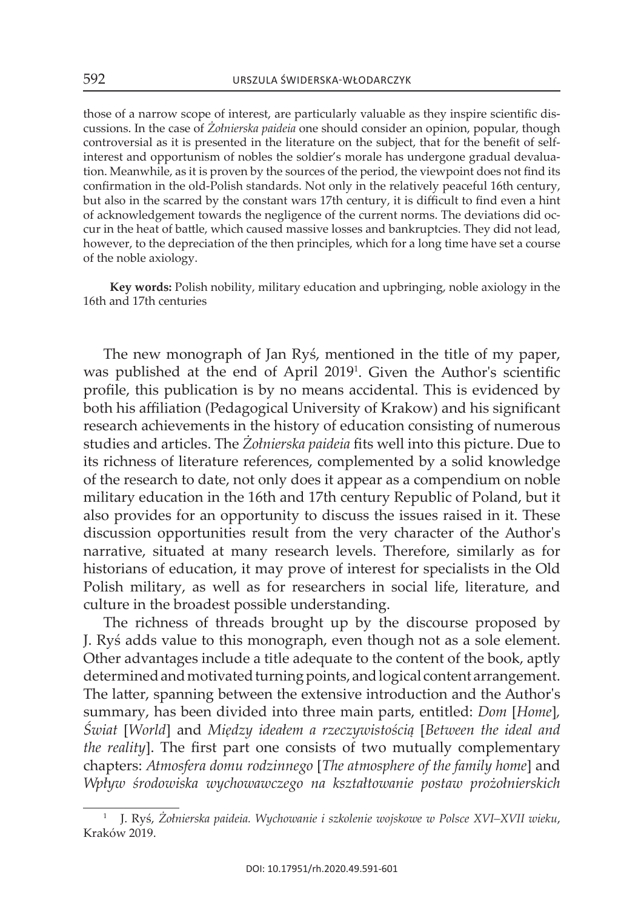those of a narrow scope of interest, are particularly valuable as they inspire scientific discussions. in the case of *Żołnierska paideia* one should consider an opinion, popular, though controversial as it is presented in the literature on the subject, that for the benefit of selfinterest and opportunism of nobles the soldier's morale has undergone gradual devaluation. Meanwhile, as it is proven by the sources of the period, the viewpoint does not find its confirmation in the old-Polish standards. not only in the relatively peaceful 16th century, but also in the scarred by the constant wars 17th century, it is difficult to find even a hint of acknowledgement towards the negligence of the current norms. the deviations did occur in the heat of battle, which caused massive losses and bankruptcies. they did not lead, however, to the depreciation of the then principles, which for a long time have set a course of the noble axiology.

**Key words:** Polish nobility, military education and upbringing, noble axiology in the 16th and 17th centuries

The new monograph of Jan Ryś, mentioned in the title of my paper, was published at the end of April 2019<sup>1</sup>. Given the Author's scientific profile, this publication is by no means accidental. this is evidenced by both his affiliation (Pedagogical University of Krakow) and his significant research achievements in the history of education consisting of numerous studies and articles. The *Żołnierska paideia* fits well into this picture. Due to its richness of literature references, complemented by a solid knowledge of the research to date, not only does it appear as a compendium on noble military education in the 16th and 17th century Republic of Poland, but it also provides for an opportunity to discuss the issues raised in it. These discussion opportunities result from the very character of the Author's narrative, situated at many research levels. therefore, similarly as for historians of education, it may prove of interest for specialists in the Old Polish military, as well as for researchers in social life, literature, and culture in the broadest possible understanding.

The richness of threads brought up by the discourse proposed by J. Rys adds value to this monograph, even though not as a sole element. other advantages include a title adequate to the content of the book, aptly determined and motivated turning points, and logical content arrangement. The latter, spanning between the extensive introduction and the Author's summary, has been divided into three main parts, entitled: *Dom* [*Home*]*, Świat* [*World*] and *Między ideałem a rzeczywistością* [*Between the ideal and the reality*]. The first part one consists of two mutually complementary chapters: *Atmosfera domu rodzinnego* [*The atmosphere of the family home*] and *Wpływ środowiska wychowawczego na kształtowanie postaw prożołnierskich* 

<sup>&</sup>lt;sup>1</sup> J. Ryś, Żołnierska paideia. Wychowanie i szkolenie wojskowe w Polsce XVI–XVII wieku, kraków 2019.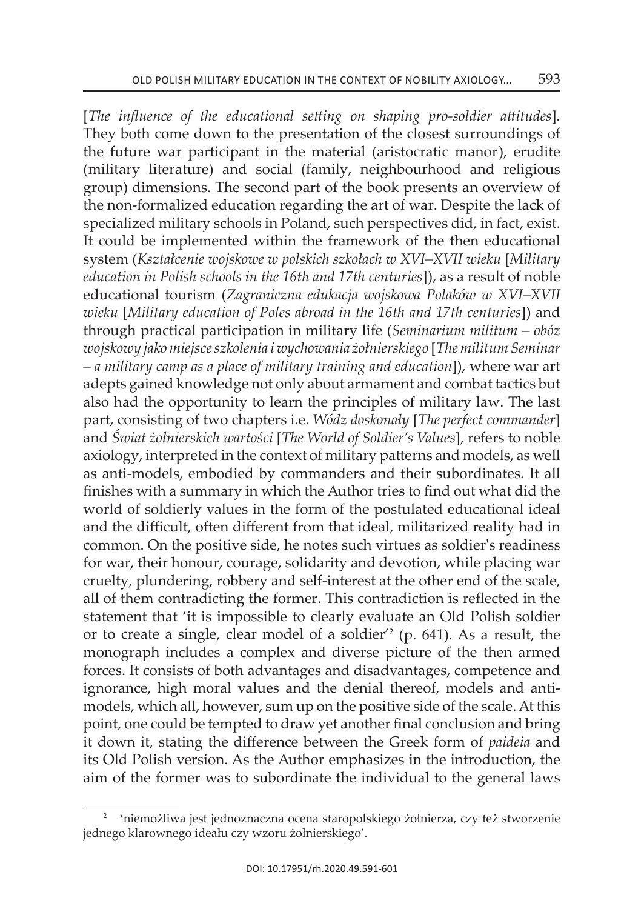[*The influence of the educational setting on shaping pro-soldier attitudes*]*.*  they both come down to the presentation of the closest surroundings of the future war participant in the material (aristocratic manor), erudite (military literature) and social (family, neighbourhood and religious group) dimensions. The second part of the book presents an overview of the non-formalized education regarding the art of war. Despite the lack of specialized military schools in Poland, such perspectives did, in fact, exist. It could be implemented within the framework of the then educational system (*Kształcenie wojskowe w polskich szkołach w XVI–XVII wieku* [*Military education in Polish schools in the 16th and 17th centuries*]), as a result of noble educational tourism (*Zagraniczna edukacja wojskowa Polaków w XVI–XVII wieku* [*Military education of Poles abroad in the 16th and 17th centuries*]) and through practical participation in military life (*Seminarium militum – obóz wojskowy jako miejsce szkolenia i wychowania żołnierskiego* [*The militum Seminar – a military camp as a place of military training and education*]), where war art adepts gained knowledge not only about armament and combat tactics but also had the opportunity to learn the principles of military law. The last part, consisting of two chapters i.e. *Wódz doskonały* [*The perfect commander*] and *Świat żołnierskich wartości* [*The World of Soldier's Values*], refers to noble axiology, interpreted in the context of military patterns and models, as well as anti-models, embodied by commanders and their subordinates. it all finishes with a summary in which the author tries to find out what did the world of soldierly values in the form of the postulated educational ideal and the difficult, often different from that ideal, militarized reality had in common. On the positive side, he notes such virtues as soldier's readiness for war, their honour, courage, solidarity and devotion, while placing war cruelty, plundering, robbery and self-interest at the other end of the scale, all of them contradicting the former. This contradiction is reflected in the statement that 'it is impossible to clearly evaluate an old Polish soldier or to create a single, clear model of a soldier $^{\prime}$  (p. 641). As a result, the monograph includes a complex and diverse picture of the then armed forces. it consists of both advantages and disadvantages, competence and ignorance, high moral values and the denial thereof, models and antimodels, which all, however, sum up on the positive side of the scale. At this point, one could be tempted to draw yet another final conclusion and bring it down it, stating the difference between the Greek form of *paideia* and its Old Polish version. As the Author emphasizes in the introduction, the aim of the former was to subordinate the individual to the general laws

<sup>&</sup>lt;sup>2</sup> 'niemożliwa jest jednoznaczna ocena staropolskiego żołnierza, czy też stworzenie jednego klarownego ideału czy wzoru żołnierskiego'.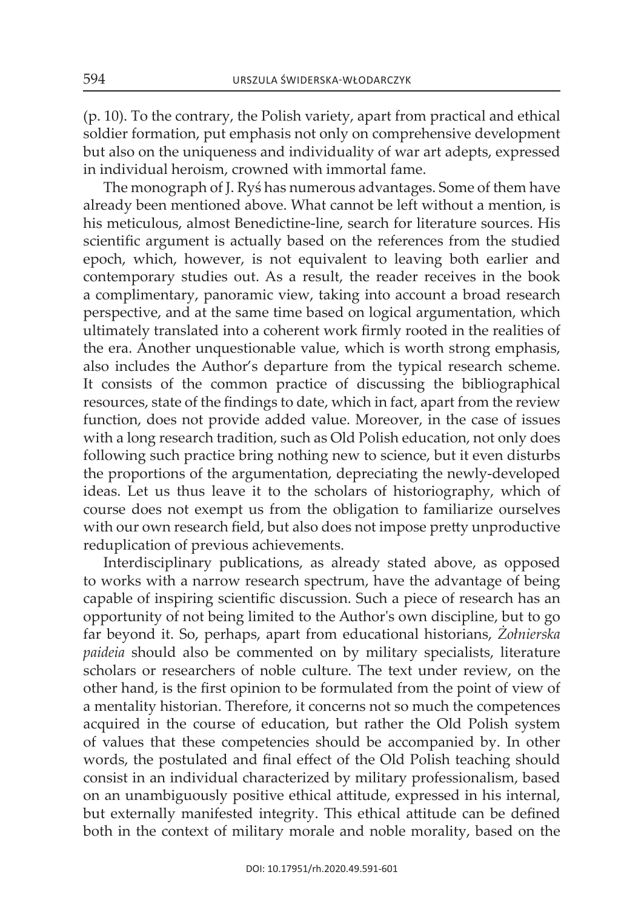$(p. 10)$ . To the contrary, the Polish variety, apart from practical and ethical soldier formation, put emphasis not only on comprehensive development but also on the uniqueness and individuality of war art adepts, expressed in individual heroism, crowned with immortal fame.

The monograph of J. Rys has numerous advantages. Some of them have already been mentioned above. What cannot be left without a mention, is his meticulous, almost Benedictine-line, search for literature sources. his scientific argument is actually based on the references from the studied epoch, which, however, is not equivalent to leaving both earlier and contemporary studies out. As a result, the reader receives in the book a complimentary, panoramic view, taking into account a broad research perspective, and at the same time based on logical argumentation, which ultimately translated into a coherent work firmly rooted in the realities of the era. Another unquestionable value, which is worth strong emphasis, also includes the Author's departure from the typical research scheme. It consists of the common practice of discussing the bibliographical resources, state of the findings to date, which in fact, apart from the review function, does not provide added value. Moreover, in the case of issues with a long research tradition, such as Old Polish education, not only does following such practice bring nothing new to science, but it even disturbs the proportions of the argumentation, depreciating the newly-developed ideas. let us thus leave it to the scholars of historiography, which of course does not exempt us from the obligation to familiarize ourselves with our own research field, but also does not impose pretty unproductive reduplication of previous achievements.

interdisciplinary publications, as already stated above, as opposed to works with a narrow research spectrum, have the advantage of being capable of inspiring scientific discussion. Such a piece of research has an opportunity of not being limited to the Author's own discipline, but to go far beyond it. so, perhaps, apart from educational historians, *Żołnierska paideia* should also be commented on by military specialists, literature scholars or researchers of noble culture. The text under review, on the other hand, is the first opinion to be formulated from the point of view of a mentality historian. Therefore, it concerns not so much the competences acquired in the course of education, but rather the old Polish system of values that these competencies should be accompanied by. in other words, the postulated and final effect of the Old Polish teaching should consist in an individual characterized by military professionalism, based on an unambiguously positive ethical attitude, expressed in his internal, but externally manifested integrity. This ethical attitude can be defined both in the context of military morale and noble morality, based on the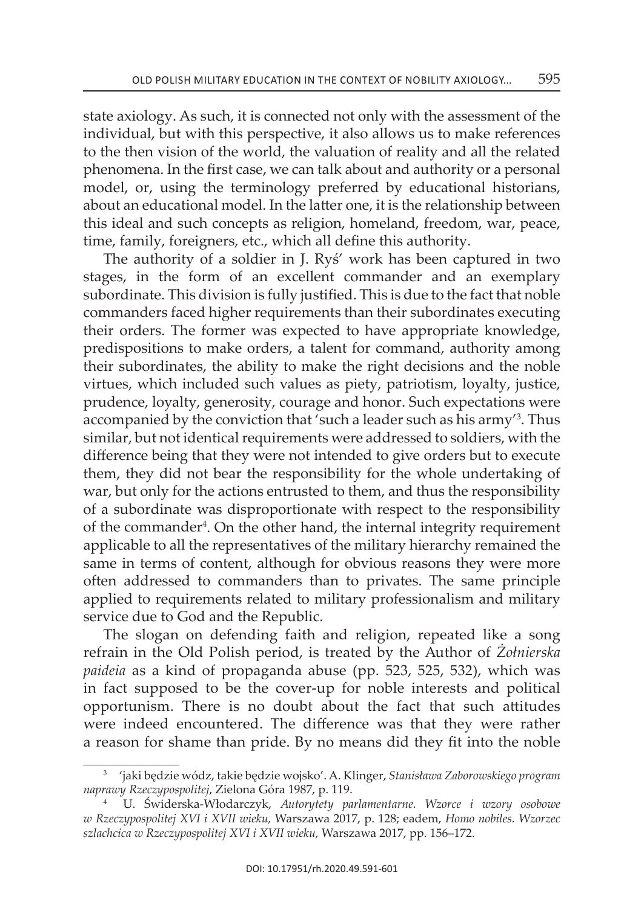state axiology. As such, it is connected not only with the assessment of the individual, but with this perspective, it also allows us to make references to the then vision of the world, the valuation of reality and all the related phenomena. in the first case, we can talk about and authority or a personal model, or, using the terminology preferred by educational historians, about an educational model. in the latter one, it is the relationship between this ideal and such concepts as religion, homeland, freedom, war, peace, time, family, foreigners, etc., which all define this authority.

The authority of a soldier in J. Rys' work has been captured in two stages, in the form of an excellent commander and an exemplary subordinate. This division is fully justified. This is due to the fact that noble commanders faced higher requirements than their subordinates executing their orders. The former was expected to have appropriate knowledge, predispositions to make orders, a talent for command, authority among their subordinates, the ability to make the right decisions and the noble virtues, which included such values as piety, patriotism, loyalty, justice, prudence, loyalty, generosity, courage and honor. Such expectations were accompanied by the conviction that 'such a leader such as his army'<sup>3</sup>. Thus similar, but not identical requirements were addressed to soldiers, with the difference being that they were not intended to give orders but to execute them, they did not bear the responsibility for the whole undertaking of war, but only for the actions entrusted to them, and thus the responsibility of a subordinate was disproportionate with respect to the responsibility of the commander4 . on the other hand, the internal integrity requirement applicable to all the representatives of the military hierarchy remained the same in terms of content, although for obvious reasons they were more often addressed to commanders than to privates. The same principle applied to requirements related to military professionalism and military service due to God and the Republic.

The slogan on defending faith and religion, repeated like a song refrain in the old Polish period, is treated by the author of *Żołnierska paideia* as a kind of propaganda abuse (pp. 523, 525, 532), which was in fact supposed to be the cover-up for noble interests and political opportunism. there is no doubt about the fact that such attitudes were indeed encountered. The difference was that they were rather a reason for shame than pride. By no means did they fit into the noble

<sup>3</sup>'jaki będzie wódz, takie będzie wojsko'. a. klinger, *Stanisława Zaborowskiego program naprawy Rzeczypospolitej*, zielona Góra 1987, p. 119.

<sup>4</sup>u. Świderska-włodarczyk, *Autorytety parlamentarne. Wzorce i wzory osobowe w Rzeczypospolitej XVI i XVII wieku,* Warszawa 2017, p. 128; eadem, *Homo nobiles. Wzorzec szlachcica w Rzeczypospolitej XVI i XVII wieku,* warszawa 2017, pp. 156–172.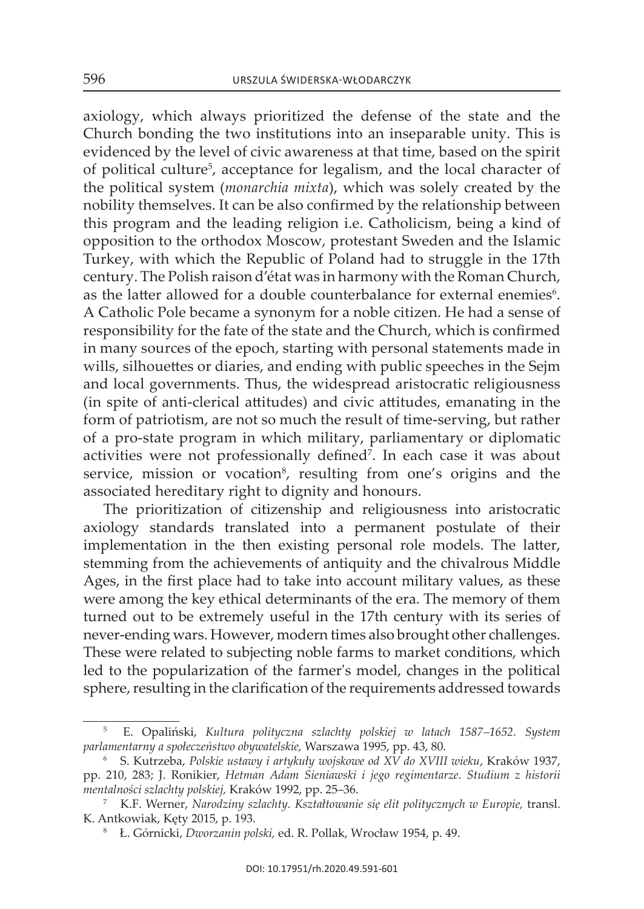axiology, which always prioritized the defense of the state and the church bonding the two institutions into an inseparable unity. this is evidenced by the level of civic awareness at that time, based on the spirit of political culture<sup>5</sup>, acceptance for legalism, and the local character of the political system (*monarchia mixta*), which was solely created by the nobility themselves. it can be also confirmed by the relationship between this program and the leading religion i.e. catholicism, being a kind of opposition to the orthodox Moscow, protestant Sweden and the Islamic Turkey, with which the Republic of Poland had to struggle in the 17th century. The Polish raison d'état was in harmony with the Roman Church, as the latter allowed for a double counterbalance for external enemies<sup>6</sup>. A Catholic Pole became a synonym for a noble citizen. He had a sense of responsibility for the fate of the state and the Church, which is confirmed in many sources of the epoch, starting with personal statements made in wills, silhouettes or diaries, and ending with public speeches in the Sejm and local governments. Thus, the widespread aristocratic religiousness (in spite of anti-clerical attitudes) and civic attitudes, emanating in the form of patriotism, are not so much the result of time-serving, but rather of a pro-state program in which military, parliamentary or diplomatic activities were not professionally defined<sup>7</sup>. In each case it was about service, mission or vocation<sup>8</sup>, resulting from one's origins and the associated hereditary right to dignity and honours.

the prioritization of citizenship and religiousness into aristocratic axiology standards translated into a permanent postulate of their implementation in the then existing personal role models. The latter, stemming from the achievements of antiquity and the chivalrous Middle Ages, in the first place had to take into account military values, as these were among the key ethical determinants of the era. The memory of them turned out to be extremely useful in the 17th century with its series of never-ending wars. however, modern times also brought other challenges. These were related to subjecting noble farms to market conditions, which led to the popularization of the farmer's model, changes in the political sphere, resulting in the clarification of the requirements addressed towards

<sup>5</sup>e. Opaliński, *Kultura polityczna szlachty polskiej w latach 1587–1652. System parlamentarny a społeczeństwo obywatelskie,* Warszawa 1995, pp. 43, 80.

<sup>6</sup> s. Kutrzeba, *Polskie ustawy i artykuły wojskowe od XV do XVIII wieku*, kraków 1937, pp. 210, 283; J. ronikier, *Hetman Adam Sieniawski i jego regimentarze. Studium z historii mentalności szlachty polskiej,* kraków 1992, pp. 25–36.

<sup>7</sup> K.F. Werner, *Narodziny szlachty. Kształtowanie się elit politycznych w Europie,* transl. k. antkowiak, kęty 2015, p. 193.

<sup>&</sup>lt;sup>8</sup> Ł. Górnicki, *Dworzanin polski*, ed. R. Pollak, Wrocław 1954, p. 49.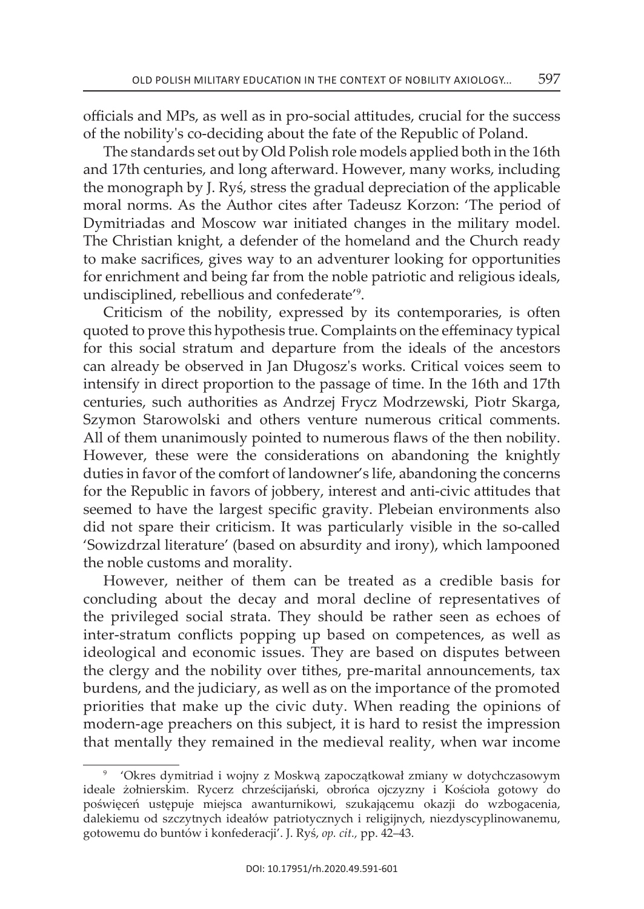officials and MPs, as well as in pro-social attitudes, crucial for the success of the nobility's co-deciding about the fate of the Republic of Poland.

The standards set out by Old Polish role models applied both in the 16th and 17th centuries, and long afterward. however, many works, including the monograph by J. Ryś, stress the gradual depreciation of the applicable moral norms. As the Author cites after Tadeusz Korzon: 'The period of Dymitriadas and Moscow war initiated changes in the military model. The Christian knight, a defender of the homeland and the Church ready to make sacrifices, gives way to an adventurer looking for opportunities for enrichment and being far from the noble patriotic and religious ideals, undisciplined, rebellious and confederate'9 .

criticism of the nobility, expressed by its contemporaries, is often quoted to prove this hypothesis true. Complaints on the effeminacy typical for this social stratum and departure from the ideals of the ancestors can already be observed in Jan Długosz's works. Critical voices seem to intensify in direct proportion to the passage of time. In the 16th and 17th centuries, such authorities as Andrzej Frycz Modrzewski, Piotr Skarga, szymon starowolski and others venture numerous critical comments. all of them unanimously pointed to numerous flaws of the then nobility. however, these were the considerations on abandoning the knightly duties in favor of the comfort of landowner's life, abandoning the concerns for the Republic in favors of jobbery, interest and anti-civic attitudes that seemed to have the largest specific gravity. Plebeian environments also did not spare their criticism. it was particularly visible in the so-called 'sowizdrzal literature' (based on absurdity and irony), which lampooned the noble customs and morality.

however, neither of them can be treated as a credible basis for concluding about the decay and moral decline of representatives of the privileged social strata. They should be rather seen as echoes of inter-stratum conflicts popping up based on competences, as well as ideological and economic issues. They are based on disputes between the clergy and the nobility over tithes, pre-marital announcements, tax burdens, and the judiciary, as well as on the importance of the promoted priorities that make up the civic duty. When reading the opinions of modern-age preachers on this subject, it is hard to resist the impression that mentally they remained in the medieval reality, when war income

<sup>9</sup>'Okres dymitriad i wojny z Moskwą zapoczątkował zmiany w dotychczasowym ideale żołnierskim. Rycerz chrześcijański, obrońca ojczyzny i Kościoła gotowy do poświęceń ustępuje miejsca awanturnikowi, szukającemu okazji do wzbogacenia, dalekiemu od szczytnych ideałów patriotycznych i religijnych, niezdyscyplinowanemu, gotowemu do buntów i konfederacji'. J. Ryś, op. cit., pp. 42-43.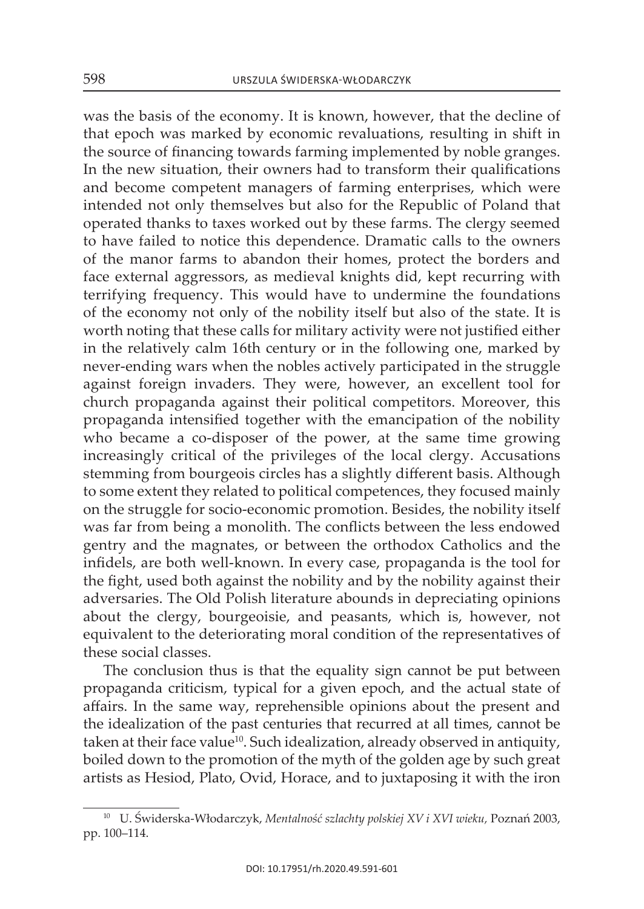was the basis of the economy. it is known, however, that the decline of that epoch was marked by economic revaluations, resulting in shift in the source of financing towards farming implemented by noble granges. In the new situation, their owners had to transform their qualifications and become competent managers of farming enterprises, which were intended not only themselves but also for the Republic of Poland that operated thanks to taxes worked out by these farms. The clergy seemed to have failed to notice this dependence. Dramatic calls to the owners of the manor farms to abandon their homes, protect the borders and face external aggressors, as medieval knights did, kept recurring with terrifying frequency. this would have to undermine the foundations of the economy not only of the nobility itself but also of the state. it is worth noting that these calls for military activity were not justified either in the relatively calm 16th century or in the following one, marked by never-ending wars when the nobles actively participated in the struggle against foreign invaders. they were, however, an excellent tool for church propaganda against their political competitors. Moreover, this propaganda intensified together with the emancipation of the nobility who became a co-disposer of the power, at the same time growing increasingly critical of the privileges of the local clergy. Accusations stemming from bourgeois circles has a slightly different basis. Although to some extent they related to political competences, they focused mainly on the struggle for socio-economic promotion. Besides, the nobility itself was far from being a monolith. The conflicts between the less endowed gentry and the magnates, or between the orthodox catholics and the infidels, are both well-known. in every case, propaganda is the tool for the fight, used both against the nobility and by the nobility against their adversaries. The Old Polish literature abounds in depreciating opinions about the clergy, bourgeoisie, and peasants, which is, however, not equivalent to the deteriorating moral condition of the representatives of these social classes.

The conclusion thus is that the equality sign cannot be put between propaganda criticism, typical for a given epoch, and the actual state of affairs. in the same way, reprehensible opinions about the present and the idealization of the past centuries that recurred at all times, cannot be taken at their face value<sup>10</sup>. Such idealization, already observed in antiquity, boiled down to the promotion of the myth of the golden age by such great artists as Hesiod, Plato, Ovid, Horace, and to juxtaposing it with the iron

<sup>&</sup>lt;sup>10</sup> U. Świderska-Włodarczyk, *Mentalność szlachty polskiej XV i XVI wieku*, Poznań 2003, pp. 100–114.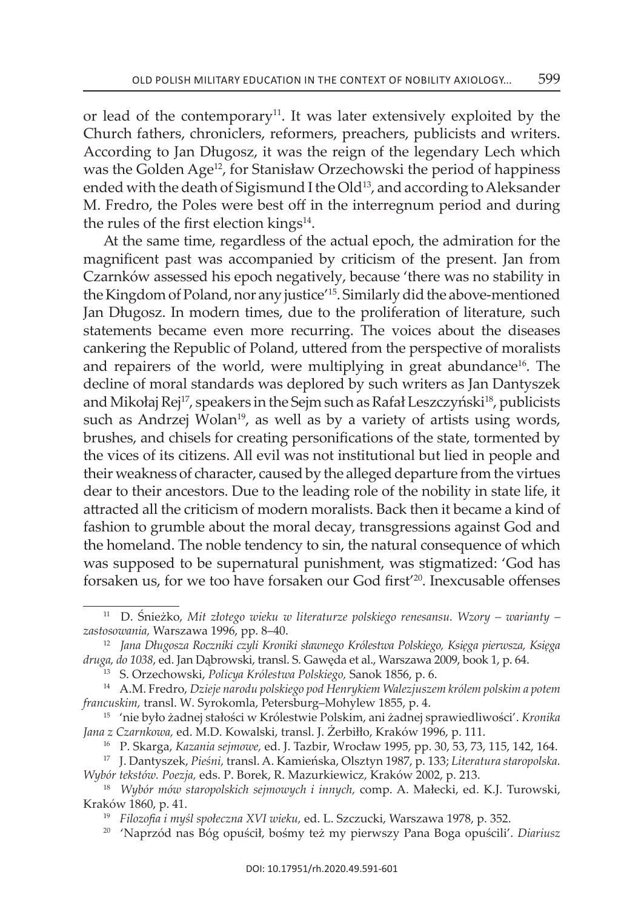or lead of the contemporary<sup>11</sup>. It was later extensively exploited by the church fathers, chroniclers, reformers, preachers, publicists and writers. According to Jan Długosz, it was the reign of the legendary Lech which was the Golden Age<sup>12</sup>, for Stanisław Orzechowski the period of happiness ended with the death of Sigismund I the Old<sup>13</sup>, and according to Aleksander M. Fredro, the Poles were best off in the interregnum period and during the rules of the first election kings $14$ .

At the same time, regardless of the actual epoch, the admiration for the magnificent past was accompanied by criticism of the present. Jan from Czarnków assessed his epoch negatively, because 'there was no stability in the Kingdom of Poland, nor any justice'15. similarly did the above-mentioned Jan Długosz. In modern times, due to the proliferation of literature, such statements became even more recurring. The voices about the diseases cankering the Republic of Poland, uttered from the perspective of moralists and repairers of the world, were multiplying in great abundance<sup>16</sup>. The decline of moral standards was deplored by such writers as Jan Dantyszek and Mikołaj Rej<sup>17</sup>, speakers in the Sejm such as Rafał Leszczyński<sup>18</sup>, publicists such as Andrzej Wolan<sup>19</sup>, as well as by a variety of artists using words, brushes, and chisels for creating personifications of the state, tormented by the vices of its citizens. all evil was not institutional but lied in people and their weakness of character, caused by the alleged departure from the virtues dear to their ancestors. Due to the leading role of the nobility in state life, it attracted all the criticism of modern moralists. Back then it became a kind of fashion to grumble about the moral decay, transgressions against God and the homeland. The noble tendency to sin, the natural consequence of which was supposed to be supernatural punishment, was stigmatized: 'God has forsaken us, for we too have forsaken our God first<sup>'20</sup>. Inexcusable offenses

<sup>&</sup>lt;sup>11</sup> D. Śnieżko, *Mit złotego wieku w literaturze polskiego renesansu. Wzory – warianty – zastosowania,* warszawa 1996, pp. 8–40.

<sup>12</sup>*Jana Długosza Roczniki czyli Kroniki sławnego Królestwa Polskiego, Księga pierwsza, Księga druga, do 1038*, ed. Jan dąbrowski, transl. s. Gawęda et al., warszawa 2009, book 1, p. 64.

<sup>13</sup> s. orzechowski, *Policya Królestwa Polskiego,* sanok 1856, p. 6.

<sup>14</sup> a.M. Fredro, *Dzieje narodu polskiego pod Henrykiem Walezjuszem królem polskim a potem francuskim,* transl. w. syrokomla, Petersburg–Mohylew 1855, p. 4.

<sup>15</sup>'nie było żadnej stałości w królestwie Polskim, ani żadnej sprawiedliwości'. *Kronika*  Jana z Czarnkowa, ed. M.D. Kowalski, transl. J. Żerbiłło, Kraków 1996, p. 111.

<sup>&</sup>lt;sup>16</sup> P. Skarga, *Kazania sejmowe, ed. J. Tazbir, Wrocław 1995, pp. 30, 53, 73, 115, 142, 164.* 

<sup>17</sup> J. Dantyszek, *Pieśni,* transl. a. kamieńska, Olsztyn 1987, p. 133; *Literatura staropolska. Wybór tekstów. Poezja,* eds. P. Borek, r. Mazurkiewicz, kraków 2002, p. 213.

<sup>&</sup>lt;sup>18</sup> Wybór mów staropolskich sejmowych i innych, comp. A. Małecki, ed. K.J. Turowski, kraków 1860, p. 41.

<sup>&</sup>lt;sup>19</sup> Filozofia i myśl społeczna XVI wieku, ed. L. Szczucki, Warszawa 1978, p. 352.

<sup>20</sup> 'naprzód nas Bóg opuścił, bośmy też my pierwszy Pana Boga opuścili'. *Diariusz*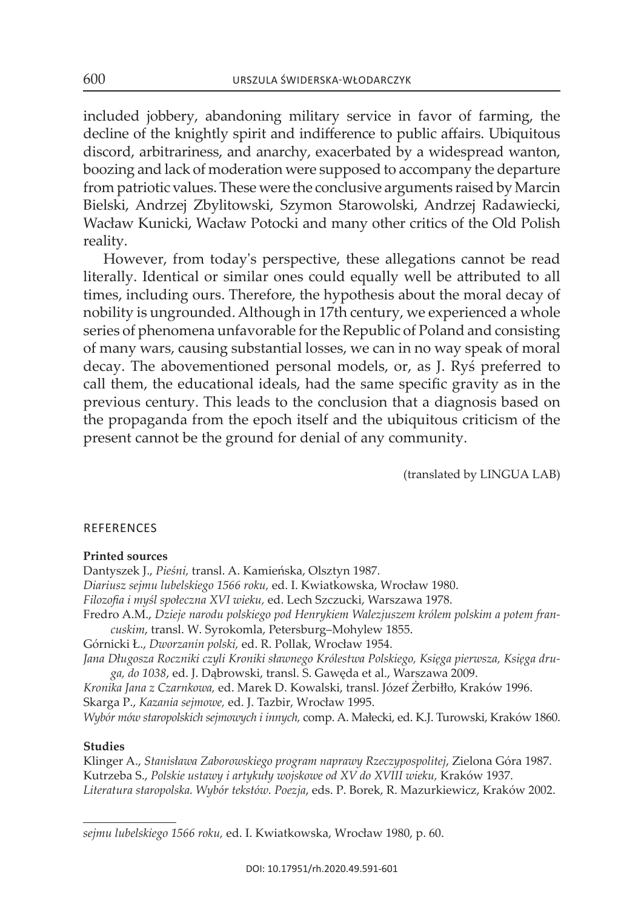included jobbery, abandoning military service in favor of farming, the decline of the knightly spirit and indifference to public affairs. Ubiquitous discord, arbitrariness, and anarchy, exacerbated by a widespread wanton, boozing and lack of moderation were supposed to accompany the departure from patriotic values. These were the conclusive arguments raised by Marcin Bielski, Andrzej Zbylitowski, Szymon Starowolski, Andrzej Radawiecki, wacław kunicki, wacław Potocki and many other critics of the Old Polish reality.

However, from today's perspective, these allegations cannot be read literally. identical or similar ones could equally well be attributed to all times, including ours. Therefore, the hypothesis about the moral decay of nobility is ungrounded. Although in 17th century, we experienced a whole series of phenomena unfavorable for the Republic of Poland and consisting of many wars, causing substantial losses, we can in no way speak of moral decay. The abovementioned personal models, or, as J. Rys preferred to call them, the educational ideals, had the same specific gravity as in the previous century. This leads to the conclusion that a diagnosis based on the propaganda from the epoch itself and the ubiquitous criticism of the present cannot be the ground for denial of any community.

(translated by LinGua LaB)

### **REFERENCES**

#### **Printed sources**

Dantyszek J., *Pieśni,* transl. a. kamieńska, Olsztyn 1987. *Diariusz sejmu lubelskiego 1566 roku,* ed. i. kwiatkowska, wrocław 1980. *Filozofia i myśl społeczna XVI wieku,* ed. lech szczucki, Warszawa 1978. Fredro A.M., Dzieje narodu polskiego pod Henrykiem Walezjuszem królem polskim a potem fran*cuskim*, transl. w. syrokomla, Petersburg–Mohylew 1855. Górnicki Ł., *Dworzanin polski*, ed. R. Pollak, Wrocław 1954. *Jana Długosza Roczniki czyli Kroniki sławnego Królestwa Polskiego, Księga pierwsza, Księga druga, do 1038*, ed. J. dąbrowski, transl. s. Gawęda et al., warszawa 2009. *Kronika Jana z Czarnkowa,* ed. Marek d. kowalski, transl. Józef Żerbiłło, kraków 1996. skarga P., *Kazania sejmowe,* ed. J. tazbir, wrocław 1995. *Wybór mów staropolskich sejmowych i innych,* comp. a. Małecki, ed. k.J. turowski, kraków 1860.

#### **studies**

Klinger A., *Stanisława Zaborowskiego program naprawy Rzeczypospolitej*, Zielona Góra 1987. Kutrzeba s., *Polskie ustawy i artykuły wojskowe od XV do XVIII wieku,* kraków 1937. *Literatura staropolska. Wybór tekstów. Poezja*, eds. P. Borek, r. Mazurkiewicz, kraków 2002.

*sejmu lubelskiego 1566 roku,* ed. i. kwiatkowska, wrocław 1980, p. 60.